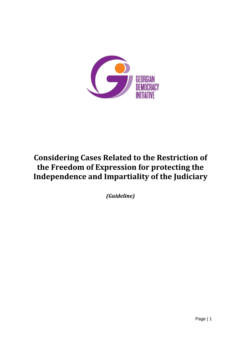

# **Considering Cases Related to the Restriction of the Freedom of Expression for protecting the Independence and Impartiality of the Judiciary**

*(Guideline)*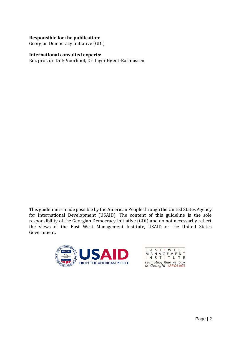#### **Responsible for the publication:**

Georgian Democracy Initiative (GDI)

#### **International consulted experts:**

Em. prof. dr. Dirk Voorhoof, Dr. Inger Høedt-Rasmussen

This guideline is made possible by the American People through the United States Agency for International Development (USAID). The content of this guideline is the sole responsibility of the Georgian Democracy Initiative (GDI) and do not necessarily reflect the views of the East West Management Institute, USAID or the United States Government.



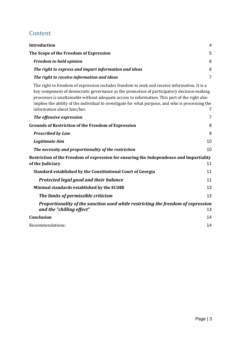# Content

| <b>Introduction</b>                                                                                                                                                                                                                                                                                                                                                                                                         | 4              |
|-----------------------------------------------------------------------------------------------------------------------------------------------------------------------------------------------------------------------------------------------------------------------------------------------------------------------------------------------------------------------------------------------------------------------------|----------------|
| The Scope of the Freedom of Expression                                                                                                                                                                                                                                                                                                                                                                                      | 5              |
| <b>Freedom to hold opinion</b>                                                                                                                                                                                                                                                                                                                                                                                              | 6              |
| The right to express and impart information and ideas                                                                                                                                                                                                                                                                                                                                                                       | 6              |
| The right to receive information and ideas                                                                                                                                                                                                                                                                                                                                                                                  | $\overline{7}$ |
| The right to freedom of expression includes freedom to seek and receive information. It is a<br>key component of democratic governance as the promotion of participatory decision-making<br>processes is unattainable without adequate access to information. This part of the right also<br>implies the ability of the individual to investigate for what purpose, and who is processing the<br>information about him/her. | 7              |
| The offensive expression                                                                                                                                                                                                                                                                                                                                                                                                    | $\overline{7}$ |
| <b>Grounds of Restriction of the Freedom of Expression</b>                                                                                                                                                                                                                                                                                                                                                                  | 8              |
| <b>Prescribed by Law</b>                                                                                                                                                                                                                                                                                                                                                                                                    | 9              |
| Legitimate Aim                                                                                                                                                                                                                                                                                                                                                                                                              | 10             |
| The necessity and proportionality of the restriction                                                                                                                                                                                                                                                                                                                                                                        | 10             |
| Restriction of the Freedom of expression for ensuring the Independence and Impartiality<br>of the Judiciary                                                                                                                                                                                                                                                                                                                 | 11             |
| Standard established by the Constitutional Court of Georgia                                                                                                                                                                                                                                                                                                                                                                 | 11             |
| Protected legal good and their balance                                                                                                                                                                                                                                                                                                                                                                                      | 11             |
| Minimal standards established by the ECtHR                                                                                                                                                                                                                                                                                                                                                                                  | 13             |
| The limits of permissible criticism                                                                                                                                                                                                                                                                                                                                                                                         | 13             |
| Proportionality of the sanction used while restricting the freedom of expression<br>and the "chilling effect"                                                                                                                                                                                                                                                                                                               | 13             |
| Conclusion                                                                                                                                                                                                                                                                                                                                                                                                                  | 14             |
| Recommendations:                                                                                                                                                                                                                                                                                                                                                                                                            | 14             |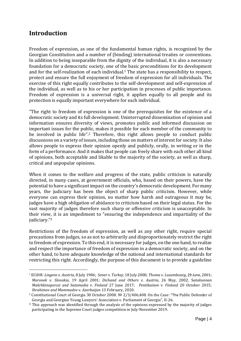## <span id="page-3-0"></span>**Introduction**

Freedom of expression, as one of the fundamental human rights, is recognized by the Georgian Constitution and a number of (binding) international treaties or conventions. In addition to being inseparable from the dignity of the individual, it is also a necessary foundation for a democratic society, one of the basic preconditions for its development and for the self-realization of each individual.<sup>1</sup> The state has a responsibility to respect, protect and ensure the full enjoyment of freedom of expression for all individuals. The exercise of this right equally contributes to the self-development and self-expression of the individual, as well as to his or her participation in processes of public importance. Freedom of expression is a universal right, it applies equally to all people and its protection is equally important everywhere for each individual.

"The right to freedom of expression is one of the prerequisites for the existence of a democratic society and its full development. Uninterrupted dissemination of opinion and information ensures diversity of views, promotes public and informed discussion on important issues for the public, makes it possible for each member of the community to be involved in public life".<sup>2</sup> Therefore, this right allows people to conduct public discussions on a variety of issues, including those on matters of interest for society. It also allows people to express their opinion openly and publicly, orally, in writing or in the form of a performance. And it makes that people can freely share with each other all kind of opinions, both acceptable and likable to the majority of the society, as well as sharp, critical and unpopular opinions.

When it comes to the welfare and progress of the state, public criticism is naturally directed, in many cases, at government officials, who, based on their powers, have the potential to have a significant impact on the country's democratic development. For many years, the judiciary has been the object of sharp public criticism. However, while everyone can express their opinion, no matter how harsh and outrageous it may be, judges have a high obligation of abidance to criticism based on their legal status. For the vast majority of judges therefore such sharp or offensive criticism is unacceptable. In their view, it is an impediment to "ensuring the independence and impartiality of the judiciary."<sup>3</sup>

Restrictions of the freedom of expression, as well as any other right, require special precautions from judges, so as not to arbitrarily and disproportionately restrict the right to freedom of expression. To this end, it is necessary for judges, on the one hand, to realize and respect the importance of freedom of expression in a democratic society, and on the other hand, to have adequate knowledge of the national and international standards for restricting this right. Accordingly, the purpose of this document is to provide a guideline

<sup>1</sup> ECtHR: *Lingens v. Austria*, 8 July 1986; *Sener v. Turkey*, 18 July 2000; *Thoma v. Luxembourg*, 29 June, 2001; *Maronek v. Slovakia*, 19 April 2001; *Dichand and Others v. Austria*, 26 May, 2002, S*atakunnan Makrkkinaporssi and Satamedia v. Finland* 27 June 2017; *Pentikainen v. Finland* 20 October 2015; *Ibrahimov and Mammadov v. Azerbaijan* 13 February, 2020.

<sup>2</sup> Constitutional Court of Georgia 30 October 2008. № 2/3/406,408. On the Case: "The Public Defender of Georgia and Georgian Young Lawyers' Association v. Parliament of Georgia", II-26.

<sup>&</sup>lt;sup>3</sup> This approach was identified through the analysis of the opinions expressed by the majority of judges participating in the Supreme Court judges competition in July-November 2019.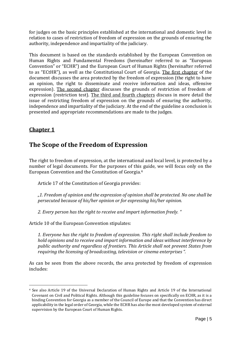for judges on the basic principles established at the international and domestic level in relation to cases of restriction of freedom of expression on the grounds of ensuring the authority, independence and impartiality of the judiciary.

This document is based on the standards established by the European Convention on Human Rights and Fundamental Freedoms (hereinafter referred to as "European Convention" or "ECHR") and the European Court of Human Rights (hereinafter referred to as "ECtHR"), as well as the Constitutional Court of Georgia. The first chapter of the document discusses the area protected by the freedom of expression (the right to have an opinion, the right to disseminate and receive information and ideas, offensive expression). The second chapter discusses the grounds of restriction of freedom of expression (restriction test). The third and fourth chapters discuss in more detail the issue of restricting freedom of expression on the grounds of ensuring the authority, independence and impartiality of the judiciary. At the end of the guideline a conclusion is presented and appropriate recommendations are made to the judges.

### <span id="page-4-0"></span>**Chapter 1**

# **The Scope of the Freedom of Expression**

The right to freedom of expression, at the international and local level, is protected by a number of legal documents. For the purposes of this guide, we will focus only on the European Convention and the Constitution of Georgia.<sup>4</sup>

Article 17 of the Constitution of Georgia provides:

*"1. Freedom of opinion and the expression of opinion shall be protected. No one shall be persecuted because of his/her opinion or for expressing his/her opinion.*

*2. Every person has the right to receive and impart information freely. "*

Article 10 of the European Convention stipulates:

*1. Everyone has the right to freedom of expression. This right shall include freedom to hold opinions and to receive and impart information and ideas without interference by public authority and regardless of frontiers. This Article shall not prevent States from requiring the licensing of broadcasting, television or cinema enterprises ".*

As can be seen from the above records, the area protected by freedom of expression includes:

<sup>4</sup> See also Article 19 of the Universal Declaration of Human Rights and Article 19 of the International Covenant on Civil and Political Rights. Although this guideline focuses on specifically on ECHR, as it is a binding Convention for Georgia as a member of the Council of Europe and that the Convention has direct applicability in the legal order of Georgia, while the ECHR has also the most developed system of external supervision by the European Court of Human Rights.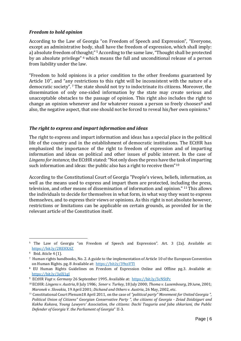#### <span id="page-5-0"></span>*Freedom to hold opinion*

According to the Law of Georgia "on Freedom of Speech and Expression", "Everyone, except an administrative body, shall have the freedom of expression, which shall imply: a) absolute freedom of thought;"<sup>5</sup> According to the same law, "Thought shall be protected by an absolute privilege" <sup>6</sup> which means the full and unconditional release of a person from liability under the law.

"Freedom to hold opinions is a prior condition to the other freedoms guaranteed by Article 10", and "any restrictions to this right will be inconsistent with the nature of a democratic society". <sup>7</sup> The state should not try to indoctrinate its citizens. Moreover, the dissemination of only one-sided information by the state may create serious and unacceptable obstacles to the passage of opinion. This right also includes the right to change an opinion whenever and for whatever reason a person so freely chooses $8$  and also, the negative aspect, that one should not be forced to reveal his/her own opinions. $^9$ 

#### <span id="page-5-1"></span>*The right to express and impart information and ideas*

The right to express and impart information and ideas has a special place in the political life of the country and in the establishment of democratic institutions. The ECtHR has emphasized the importance of the right to freedom of expression and of imparting information and ideas on political and other issues of public interest. In the case of *Lingens for instance,* the ECtHR stated: "Not only does the press have the task of imparting such information and ideas: the public also has a right to receive them"<sup>10</sup>

According to the Constitutional Court of Georgia "People's views, beliefs, information, as well as the means used to express and impart them are protected, including the press, television, and other means of dissemination of information and opinion." <sup>11</sup> This allows the individuals to decide for themselves in what form, in what way they want to express themselves, and to express their views or opinions. As this right is not absolute however, restrictions or limitations can be applicable on certain grounds, as provided for in the relevant article of the Constitution itself.

<sup>&</sup>lt;sup>5</sup> The Law of Georgia "on Freedom of Speech and Expression". Art. 3 (2a). Available at: <https://bit.ly/2REHXAZ>

<sup>6</sup> Ibid. Aticle 4 (1).

<sup>7</sup> Human rights handbooks, No. 2. A guide to the implementation of Article 10 of the European Convention on Human Rights. pg. 8 Available at: <https://bit.ly/39xsVTI>

<sup>8</sup> EU Human Rights Guidelines on Freedom of Expression Online and Offline pg.3. Available at: <https://bit.ly/3elX1gJ>

<sup>9</sup> ECtHR *Vogt v. Germany* 26 September 1995. Available at: <https://bit.ly/3cNStPc>

<sup>10</sup> ECtHR: *Lingens v. Austria*, 8 July 1986; *Sener v. Turkey*, 18 July 2000; *Thoma v. Luxembourg*, 29 June, 2001; *Maronek v. Slovakia*, 19 April 2001; *Dichand and Others v. Austria*, 26 May, 2002, etc.

<sup>11</sup> Constitutional Court Plenum18 April 2011, on the case of *"political party" Movement for United Georgia ", Political Union of Citizens" Georgian Conservative Party ", the citizens of Georgia - Zviad Dzidziguri and Kakha Kukava, Young Lawyers' Association, the citizens: Dachi Tsaguria and Jaba shkariani, the Public Defender of Georgia V. the Parliament of Georgia*" II-3.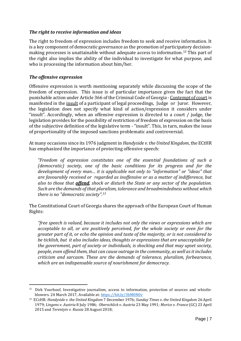#### <span id="page-6-0"></span>*The right to receive information and ideas*

<span id="page-6-1"></span>The right to freedom of expression includes freedom to seek and receive information. It is a key component of democratic governance as the promotion of participatory decisionmaking processes is unattainable without adequate access to information. <sup>12</sup> This part of the right also implies the ability of the individual to investigate for what purpose, and who is processing the information about him/her.

#### <span id="page-6-2"></span>*The offensive expression*

Offensive expression is worth mentioning separately while discussing the scope of the freedom of expression. This issue is of particular importance given the fact that the punishable action under Article 366 of the Criminal Code of Georgia - Contempt of court is manifested in the insult of a participant of legal proceedings, Judge or Juror. However, the legislation does not specify what kind of action/expression it considers under "insult". Accordingly, when an offensive expression is directed to a court / judge, the legislation provides for the possibility of restriction of freedom of expression on the basis of the subjective definition of the legislative term - "insult". This, in turn, makes the issue of proportionality of the imposed sanctions problematic and controversial.

At many occasions since its 1976 judgment in *Handyside v. the United Kingdom*, the ECtHR has emphasized the importance of protecting offensive speech:

*"Freedom of expression constitutes one of the essential foundations of such a (democratic) society, one of the basic conditions for its progress and for the development of every man… it is applicable not only to "information" or "ideas" that are favourably received or regarded as inoffensive or as a matter of indifference, but also to those that offend, shock or disturb the State or any sector of the population. Such are the demands of that pluralism, tolerance and broadmindedness without which there is no "democratic society".<sup>13</sup>*

The Constitutional Court of Georgia shares the approach of the European Court of Human Rights:

*"free speech is valued, because it includes not only the views or expressions which are acceptable to all, or are positively perceived, for the whole society or even for the greater part of it, or echo the opinion and taste of the majority, or is not considered to be ticklish, but it also includes ideas, thoughts or expressions that are unacceptable for the government, part of society or individuals, is shocking and that may upset society, people, even offend them, that can cause outrage in the community, as well as it includes criticism and sarcasm. These are the demands of tolerance, pluralism, forbearance, which are an indispensable source of nourishment for democracy.* 

<sup>&</sup>lt;sup>12</sup> Dirk Voorhoof, Investigative journalism, access to information, protection of sources and whistleblowers. 24 March 2017, Available at: <https://bit.ly/3bM0N0v>

<sup>13</sup> ECtHR: *Handyside v. the United Kingdom* 7 December 1976; *Sunday Times v. the United Kingdom* 26 April 1979; *Lingens v. Austria* 8 July 1986; *Oberschlick v. Austria* 23 May 1991*; Morice v. France* (GC) 23 April 2015 and *Terentyiv v. Russia* 28 August 2018;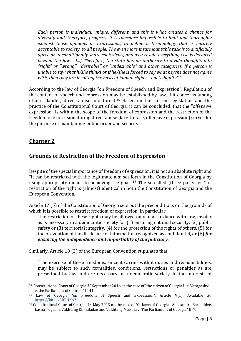*Each person is individual, unique, different, and this is what creates a chance for diversity and, therefore, progress. It is therefore impossible to limit and thoroughly exhaust those opinions or expressions, to define a terminology that is entirely acceptable to society, to all people. The even more insurmountable task is to artificially agree or unconditionally share such views, and as a result, everything else is declared beyond the law… [...] Therefore, the state has no authority to divide thoughts into "right" or "wrong", "desirable" or "undesirable" and other categories. If a person is unable to say what h/she thinks or if he/she is forced to say what he/she does not agree with, then they are insulting the basis of human rights – one's dignity".<sup>14</sup>*

According to the law of Georgia "on Freedom of Speech and Expression", Regulation of the content of speech and expression may be established by law, if it concerns among others slander, direct abuse and threat. <sup>15</sup> Based on the current legislation and the practice of the Constitutional Court of Georgia, it can be concluded, that the "offensive expression" is within the scope of the freedom of expression and the restriction of the freedom of expression during direct abuse (face-to-face, offensive expression) serves for the purpose of maintaining public order and security.

### <span id="page-7-0"></span>**Chapter 2**

### **Grounds of Restriction of the Freedom of Expression**

Despite of the special importance of freedom of expression, it is not an absolute right and "it can be restricted with the legitimate aim set forth in the Constitution of Georgia by using appropriate means to achieving the goal."<sup>16</sup> The so-called "three party test" of restriction of the right is (almost) identical in both the Constitution of Georgia and the European Convention.

Article 17 (5) of the Constitution of Georgia sets out the preconditions on the grounds of which it is possible to restrict freedom of expression. In particular:

"the restriction of these rights may be allowed only in accordance with law, insofar as is necessary in a democratic society for (1) ensuring national security, (2) public safety or (3) territorial integrity, (4) for the protection of the rights of others, (5) for the prevention of the disclosure of information recognized as confidential, or (6) *for ensuring the independence and impartiality of the judiciary.*

Similarly, Article 10 (2) of the European Convention stipulates that:

"The exercise of these freedoms, since it carries with it duties and responsibilities, may be subject to such formalities, conditions, restrictions or penalties as are prescribed by law and are necessary in a democratic society, in the interests of

<sup>14</sup> Constitutional Court of Georgia 30 September 2016 on the case of "the citizen of Georgia Iuri Vazagashvili v. the Parliament of Georgia" II-41

<sup>15</sup> Law of Georgia "on Freedom of Speech and Expression". Article 9(1). Available at: <https://bit.ly/2REHXAZ>

<sup>&</sup>lt;sup>16</sup> Constitutional Court of Georgia 14 May 2013 on the case of "Citizens of Georgia- Aleksandre Baramidze, Lasha Tugushi, Vakhtang Khmaladze and Vakhtang Maisaia v. The Parliament of Georgia" II-7.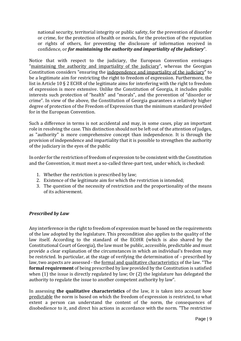national security, territorial integrity or public safety, for the prevention of disorder or crime, for the protection of health or morals, for the protection of the reputation or rights of others, for preventing the disclosure of information received in confidence, or *for maintaining the authority and impartiality of the judiciary*".

Notice that with respect to the judiciary, the European Convention envisages "maintaining the authority and impartiality of the judiciary", whereas the Georgian Constitution considers "ensuring the independence and impartiality of the judiciary" to be a legitimate aim for restricting the right to freedom of expression. Furthermore, the list in Article 10 § 2 ECHR of the legitimate aims for interfering with the right to freedom of expression is more extensive. Unlike the Constitution of Georgia, it includes public interests such protection of "health" and "morals", and the prevention of "disorder or crime". In view of the above, the Constitution of Georgia guarantees a relatively higher degree of protection of the Freedom of Expression than the minimum standard provided for in the European Convention.

Such a difference in terms is not accidental and may, in some cases, play an important role in resolving the case. This distinction should not be left out of the attention of judges, as "authority" is more comprehensive concept than independence. It is through the provision of independence and impartiality that it is possible to strengthen the authority of the judiciary in the eyes of the public

In order for the restriction of freedom of expression to be consistent with the Constitution and the Convention, it must meet a so-called three-part test, under which, is checked:

- 1. Whether the restriction is prescribed by law;
- 2. Existence of the legitimate aim for which the restriction is intended;
- 3. The question of the necessity of restriction and the proportionality of the means of its achievement.

#### <span id="page-8-0"></span>*Prescribed by Law*

Any interference in the right to freedom of expression must be based on the requirements of the law adopted by the legislature. This precondition also applies to the quality of the law itself. According to the standard of the ECtHR (which is also shared by the Constitutional Court of Georgia), the law must be public, accessible, predictable and must provide a clear explanation of the circumstances in which an individual's freedom may be restricted. In particular, at the stage of verifying the determination of – prescribed by law, two aspects are assessed - the formal and qualitative characteristics of the law. "The **formal requirement** of being prescribed by law provided by the Constitution is satisfied when (1) the issue is directly regulated by law; Or (2) the legislature has delegated the authority to regulate the issue to another competent authority by law".

In assessing **the qualitative characteristics** of the law, it is taken into account how predictable the norm is based on which the freedom of expression is restricted, to what extent a person can understand the content of the norm, the consequences of disobedience to it, and direct his actions in accordance with the norm. "The restrictive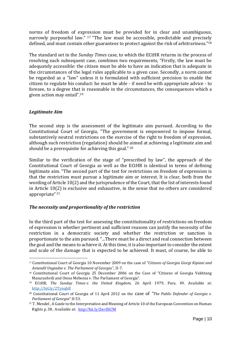norms of freedom of expression must be provided for in clear and unambiguous, narrowly purposeful law." <sup>17</sup> "The law must be accessible, predictable and precisely defined, and must contain other guarantees to protect against the risk of arbitrariness."<sup>18</sup>

The standard set in the *Sunday Times* case, to which the ECtHR returns in the process of resolving each subsequent case, combines two requirements, "Firstly, the law must be adequately accessible: the citizen must be able to have an indication that is adequate in the circumstances of the legal rules applicable to a given case. Secondly, a norm cannot be regarded as a "law" unless it is formulated with sufficient precision to enable the citizen to regulate his conduct: he must be able - if need be with appropriate advice - to foresee, to a degree that is reasonable in the circumstances, the consequences which a given action may entail".<sup>19</sup>

#### <span id="page-9-0"></span>*Legitimate Aim*

The second step is the assessment of the legitimate aim pursued. According to the Constitutional Court of Georgia, "The government is empowered to impose formal, substantively neutral restrictions on the exercise of the right to freedom of expression, although such restriction (regulation) should be aimed at achieving a legitimate aim and should be a prerequisite for achieving this goal." <sup>20</sup>

Similar to the verification of the stage of "prescribed by law", the approach of the Constitutional Court of Georgia as well as the ECtHR is identical in terms of defining legitimate aim. "The second part of the test for restrictions on freedom of expression is that the restriction must pursue a legitimate aim or interest. It is clear, both from the wording of Article 10(2) and the jurisprudence of the Court, that the list of interests found in Article 10(2) is exclusive and exhaustive, in the sense that no others are considered appropriate" <sup>21</sup>

#### <span id="page-9-1"></span>*The necessity and proportionality of the restriction*

In the third part of the test for assessing the constitutionality of restrictions on freedom of expression is whether pertinent and sufficient reasons can justify the necessity of the restriction in a democratic society and whether the restriction or sanction is proportionate to the aim pursued. "...There must be a direct and real connection between the goal and the means to achieve it. At this time, it is also important to consider the extent and scale of the damage that is expected to be achieved. It must, of course, be able to

<sup>17</sup> Constitutional Court of Georgia 10 November 2009 on the case of *"Citizens of Georgia Giorgi Kipiani and Avtandil Ungiadze v. The Parliament of Georgia"*, II-7.

<sup>18</sup> Constitutional Court of Georgia 25 December 2006 on the Case of "Citizens of Georgia Vakhtang Masurashvili and Onise Mebonia v. The Parliament of Georgia".

<sup>19</sup> ECtHR, *The Sunday Times v. the United Kingdom,* 26 April 1979, Para. 49. Available at: <http://bit.ly/2TynqhB>

<sup>20</sup> Constitutional Court of Georgia of 11 April 2012 on the case of *"The Public Defender of Georgia v. Parliament of Georgia*" II-53.

 $21$  T. Mendel, A Guide to the Interpretation and Meaning of Article 10 of the European Convention on Human Rights p. 38. Available at: <http://bit.ly/2wvlbUM>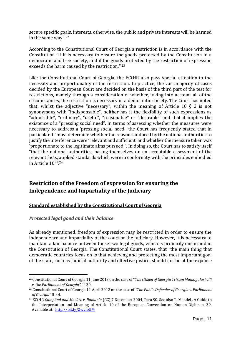secure specific goals, interests, otherwise, the public and private interests will be harmed in the same way". 22

According to the Constitutional Court of Georgia a restriction is in accordance with the Constitution "if it is necessary to ensure the goods protected by the Constitution in a democratic and free society, and if the goods protected by the restriction of expression exceeds the harm caused by the restriction." <sup>23</sup>

Like the Constitutional Court of Georgia, the ECtHR also pays special attention to the necessity and proportionality of the restriction. In practice, the vast majority of cases decided by the European Court are decided on the basis of the third part of the test for restrictions, namely through a consideration of whether, taking into account all of the circumstances, the restriction is necessary in a democratic society. The Court has noted that, whilst the adjective "necessary", within the meaning of Article 10 § 2 is not synonymous with "indispensable", neither has it the flexibility of such expressions as "admissible", "ordinary", "useful", "reasonable" or "desirable" and that it implies the existence of a "pressing social need". In terms of assessing whether the measures were necessary to address a 'pressing social need', the Court has frequently stated that in particular it "must determine whether the reasons adduced by the national authorities to justify the interference were 'relevant and sufficient' and whether the measure taken was 'proportionate to the legitimate aims pursued'". In doing so, the Court has to satisfy itself "that the national authorities, basing themselves on an acceptable assessment of the relevant facts, applied standards which were in conformity with the principles embodied in Article 10"". 24

### <span id="page-10-0"></span>**Restriction of the Freedom of expression for ensuring the Independence and Impartiality of the Judiciary**

#### <span id="page-10-1"></span>**Standard established by the Constitutional Court of Georgia**

#### <span id="page-10-2"></span>*Protected legal good and their balance*

As already mentioned, freedom of expression may be restricted in order to ensure the independence and impartiality of the court or the judiciary. However, it is necessary to maintain a fair balance between these two legal goods, which is primarily enshrined in the Constitution of Georgia. The Constitutional Court states, that "the main thing that democratic countries focus on is that achieving and protecting the most important goal of the state, such as judicial authority and effective justice, should not be at the expense

<sup>22</sup> Constitutional Court of Georgia 11 June 2013 on the case of "*The citizen of Georgia Tristan Mamagulashvili v. the Parliament of Georgia".* II-30.

<sup>23</sup> Constitutional Court of Georgia 11 April 2012 on the case of *"The Public Defender of Georgia v. Parliament of Georgia"* II-44.

<sup>24</sup> ECtHR *Cumpǎnǎ and Mazǎre v. Romania* (GC) 7 December 2004, Para 90. See also T. Mendel , A Guide to the Interpretation and Meaning of Article 10 of the European Convention on Human Rights p. 39. Available at: <http://bit.ly/2wvlbUM>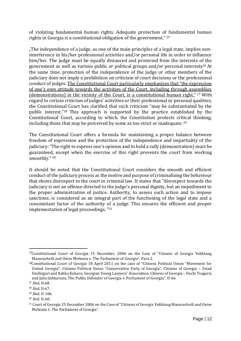of violating fundamental human rights. Adequate protection of fundamental human rights in Georgia is a constitutional obligation of the government." <sup>25</sup>

"The independence of a judge, as one of the main principles of a legal state, implies noninterference in his/her professional activities and/or personal life in order to influence him/her. The judge must be equally distanced and protected from the interests of the government as well as various public or political groups and/or personal interests<sup>26</sup> At the same time, protection of the independence of the judge or other members of the judiciary does not imply a prohibition on criticism of court decisions or the professional conduct of judges. The Constitutional Court particularly emphasizes that "the expression of one's own attitude towards the activities of the Court, including through assemblies (demonstrations) in the vicinity of the Court, is a constitutional human right." <sup>27</sup> With regard to certain criticism of judges' activities or their professional or personal qualities, the Constitutional Court has clarified that such criticism "may be substantiated by the public interest."<sup>28</sup> This approach is supported by the practice established by the Constitutional Court, according to which, the Constitution protects critical thinking, including those that may be perceived by some as too strict or inadequate. <sup>29</sup>

The Constitutional Court offers a formula for maintaining a proper balance between freedom of expression and the protection of the independence and impartiality of the judiciary:"The right to express one's opinion and to hold a rally (demonstration) must be guaranteed, except when the exercise of this right prevents the court from working smoothly." <sup>30</sup>

It should be noted that the Constitutional Court considers the smooth and efficient conduct of the judiciary process as the motive and purpose of criminalizing the behaviour that shows disrespect to the court in criminal law. It states that "disrespect towards the judiciary is not an offense directed to the judge's personal dignity, but an impediment to the proper administration of justice. Authority, to assess such action and to impose sanctions, is considered as an integral part of the functioning of the legal state and a concomitant factor of the authority of a judge. This ensures the efficient and proper implementation of legal proceedings. "<sup>31</sup>

 $25$ Constitutional Court of Georgia 15 December, 2006 on the Case of "Citizens of Georgia Vakhtang" Masurashvili and Onise Mebonia v. The Parliament of Georgia". Para 2.

<sup>&</sup>lt;sup>26</sup>Constitutional Court of Georgia 18 April 2011 on the case of "Citizens Political Union "Movement for United Georgia", Citizens Political Union "Conservative Party of Georgia", Citizens of Georgia – Zviad Dzidziguri and Kahka Kukava, Georgian Young Lawyers' Association, Citizens of Georgia – Dachi Tsaguria and Jaba Jishkariani, The Public Defender of Georgia v. Parliament of Georgia". II-66

<sup>27</sup> *Ibid*, II-68.

<sup>28</sup> *Ibid*, II-67.

<sup>29</sup> *Ibid*, II-106.

<sup>30</sup> *Ibid*, II-60.

<sup>&</sup>lt;sup>31</sup> Court of Georgia 25 December 2006 on the Case of "Citizens of Georgia Vakhtang Masurashvili and Onise Mebonia v. The Parliament of Georgia".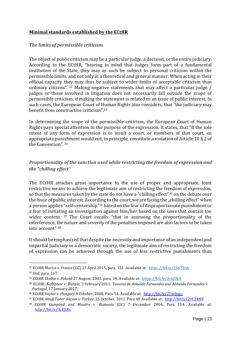#### <span id="page-12-0"></span>**Minimal standards established by the ECtHR**

#### <span id="page-12-1"></span>*The limits of permissible criticism*

The object of public criticism may be a particular judge, a decision, or the entire judiciary. According to the ECtHR, "bearing in mind that judges form part of a fundamental institution of the State, they may as such be subject to personal criticism within the permissible limits, and not only in a theoretical and general manner. When acting in their official capacity they may thus be subject to wider limits of acceptable criticism than ordinary citizens". <sup>32</sup> Making negative statements that may affect a particular judge / judges or those involved in litigation does not necessarily fall outside the scope of permissible criticism, if making the statement is related to an issue of public interest. In such cases, the European Court of Human Rights also considers, that "the judiciary may benefit from constructive criticism".<sup>33</sup>

In determining the scope of the permissible criticism, the European Court of Human Rights pays special attention to the purpose of the expression. It states, that "If the sole intent of any form of expression is to insult a court, or members of that court, an appropriate punishment would not, in principle, constitute a violation of Article 10 § 2 of the Convention". <sup>34</sup>

#### <span id="page-12-2"></span>*Proportionality of the sanction used while restricting the freedom of expression and the "chilling effect"*

The ECtHR attaches great importance to the use of proper and appropriate, least restrictive means to achieve the legitimate aim of restricting the freedom of expression, so that the measures taken by the state do not have a "chilling effect"<sup>35</sup> on the debate over the issue of public interest. According to the court, we are facing the "chilling effect" when a person applies "self-censorship"<sup>36</sup> based on the fear of disproportionate punishment or a fear of initiating an investigation against him/her based on the laws that contain too wider content. <sup>37</sup> The Court recalls "that in assessing the proportionality of the interference, the nature and severity of the penalties imposed are also factors to be taken into account" 38.

It should be emphasized that despite the necessity and importance of an independent and impartial Judiciary in a democratic society, the legitimate aim of restricting the freedom of expression can be achieved through the use of less restrictive punishments than

<sup>32</sup> ECtHR *Morice v. France* (GC) 23 April 2015, para. 131. Available at:<https://bit.ly/2S6TZn6>

<sup>33</sup> *Ibid*, para. 167.

<sup>34</sup> ECtHR *Skalka v. Poland* 27 August, 2003. para. 34. Available at: <https://bit.ly/3c6ZIkA>

<sup>35</sup> ECtHR: *Kabanov v. Russia*, 3 February 2011; *Tavares de Almeida Fernandes and Almeida Fernandes v. Portugal*, 17 January 2017;

<sup>36</sup> ECtHR *Vajnai v. Hungary* 8 October, 2008. Para 54. Available at: <http://bit.ly/2TwBngc>

<sup>37</sup> ECtHR *Altuğ Taner Akçam v. Turkey*, 25 October, 2011. Para 68 Available at: <http://bit.ly/2vC34MF>

<sup>38</sup> ECtHR *Cumpǎnǎ and Mazǎre v. Romania* (GC) 7 December 2004. Para 114. Available at: <http://bit.ly/3cEJiRs>